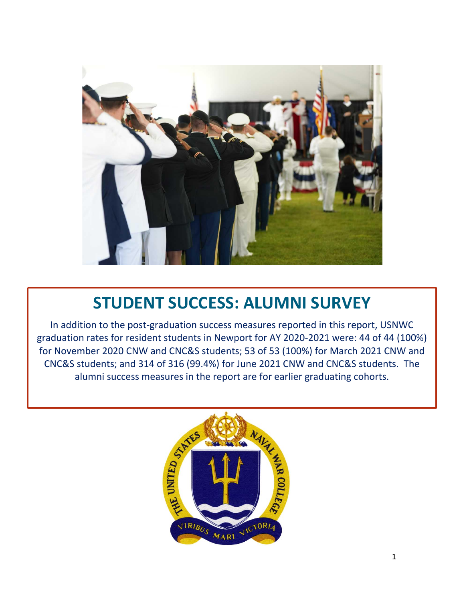

# **STUDENT SUCCESS: ALUMNI SURVEY**

In addition to the post-graduation success measures reported in this report, USNWC graduation rates for resident students in Newport for AY 2020-2021 were: 44 of 44 (100%) for November 2020 CNW and CNC&S students; 53 of 53 (100%) for March 2021 CNW and CNC&S students; and 314 of 316 (99.4%) for June 2021 CNW and CNC&S students. The alumni success measures in the report are for earlier graduating cohorts.

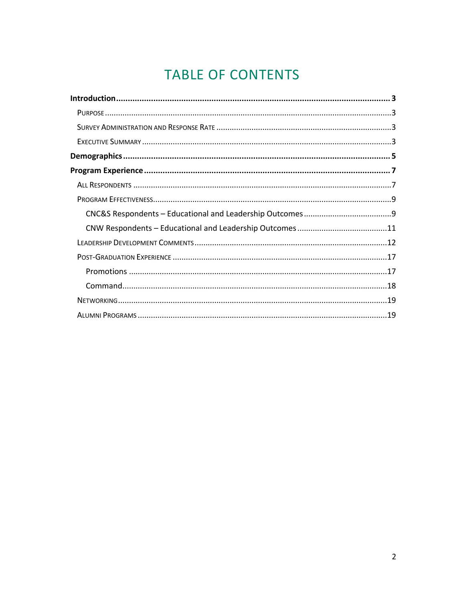# **TABLE OF CONTENTS**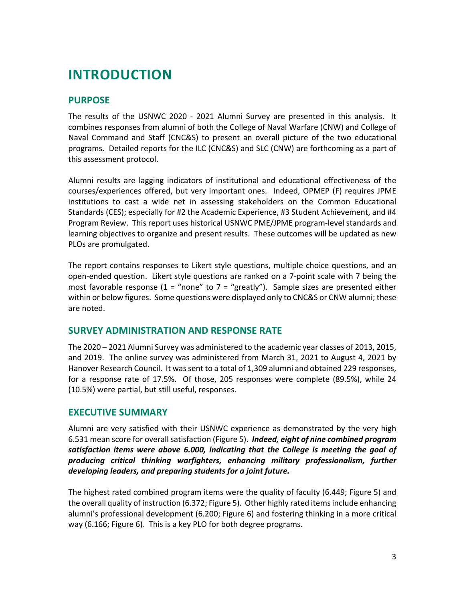## <span id="page-2-0"></span>**INTRODUCTION**

## <span id="page-2-1"></span>**PURPOSE**

The results of the USNWC 2020 - 2021 Alumni Survey are presented in this analysis. It combines responses from alumni of both the College of Naval Warfare (CNW) and College of Naval Command and Staff (CNC&S) to present an overall picture of the two educational programs. Detailed reports for the ILC (CNC&S) and SLC (CNW) are forthcoming as a part of this assessment protocol.

Alumni results are lagging indicators of institutional and educational effectiveness of the courses/experiences offered, but very important ones. Indeed, OPMEP (F) requires JPME institutions to cast a wide net in assessing stakeholders on the Common Educational Standards (CES); especially for #2 the Academic Experience, #3 Student Achievement, and #4 Program Review. This report uses historical USNWC PME/JPME program-level standards and learning objectives to organize and present results. These outcomes will be updated as new PLOs are promulgated.

The report contains responses to Likert style questions, multiple choice questions, and an open-ended question. Likert style questions are ranked on a 7-point scale with 7 being the most favorable response (1 = "none" to  $7 =$  "greatly"). Sample sizes are presented either within or below figures. Some questions were displayed only to CNC&S or CNW alumni; these are noted.

## <span id="page-2-2"></span>**SURVEY ADMINISTRATION AND RESPONSE RATE**

The 2020 – 2021 Alumni Survey was administered to the academic year classes of 2013, 2015, and 2019. The online survey was administered from March 31, 2021 to August 4, 2021 by Hanover Research Council. It was sent to a total of 1,309 alumni and obtained 229 responses, for a response rate of 17.5%. Of those, 205 responses were complete (89.5%), while 24 (10.5%) were partial, but still useful, responses.

## <span id="page-2-3"></span>**EXECUTIVE SUMMARY**

Alumni are very satisfied with their USNWC experience as demonstrated by the very high 6.531 mean score for overall satisfaction (Figure 5). *Indeed, eight of nine combined program satisfaction items were above 6.000, indicating that the College is meeting the goal of producing critical thinking warfighters, enhancing military professionalism, further developing leaders, and preparing students for a joint future.*

The highest rated combined program items were the quality of faculty (6.449; Figure 5) and the overall quality of instruction (6.372; Figure 5). Other highly rated items include enhancing alumni's professional development (6.200; Figure 6) and fostering thinking in a more critical way (6.166; Figure 6). This is a key PLO for both degree programs.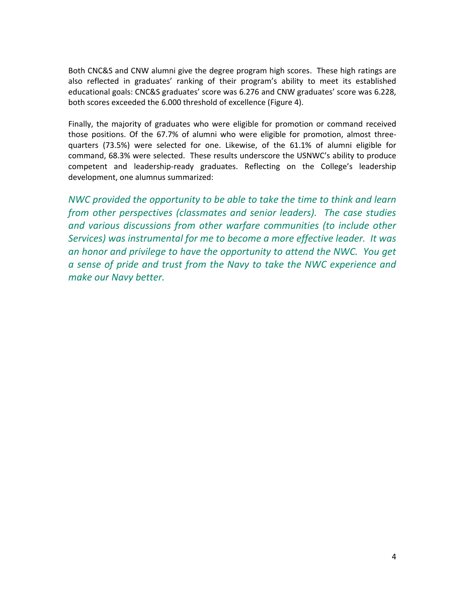Both CNC&S and CNW alumni give the degree program high scores. These high ratings are also reflected in graduates' ranking of their program's ability to meet its established educational goals: CNC&S graduates' score was 6.276 and CNW graduates' score was 6.228, both scores exceeded the 6.000 threshold of excellence (Figure 4).

Finally, the majority of graduates who were eligible for promotion or command received those positions. Of the 67.7% of alumni who were eligible for promotion, almost threequarters (73.5%) were selected for one. Likewise, of the 61.1% of alumni eligible for command, 68.3% were selected. These results underscore the USNWC's ability to produce competent and leadership-ready graduates. Reflecting on the College's leadership development, one alumnus summarized:

*NWC provided the opportunity to be able to take the time to think and learn from other perspectives (classmates and senior leaders). The case studies and various discussions from other warfare communities (to include other Services) was instrumental for me to become a more effective leader. It was an honor and privilege to have the opportunity to attend the NWC. You get a sense of pride and trust from the Navy to take the NWC experience and make our Navy better.*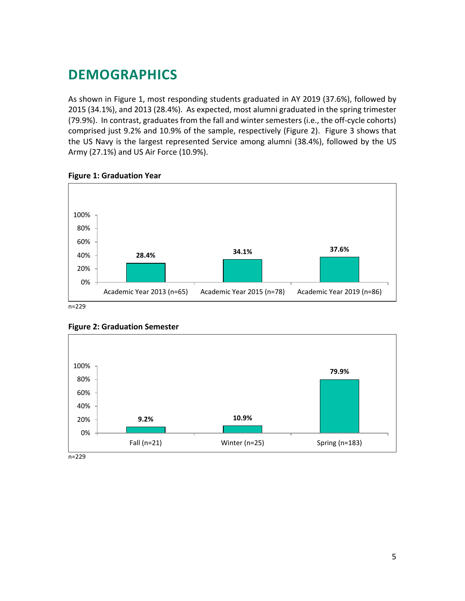## <span id="page-4-0"></span>**DEMOGRAPHICS**

As shown in Figure 1, most responding students graduated in AY 2019 (37.6%), followed by 2015 (34.1%), and 2013 (28.4%). As expected, most alumni graduated in the spring trimester (79.9%). In contrast, graduates from the fall and winter semesters (i.e., the off-cycle cohorts) comprised just 9.2% and 10.9% of the sample, respectively (Figure 2). Figure 3 shows that the US Navy is the largest represented Service among alumni (38.4%), followed by the US Army (27.1%) and US Air Force (10.9%).



#### **Figure 1: Graduation Year**



#### **Figure 2: Graduation Semester**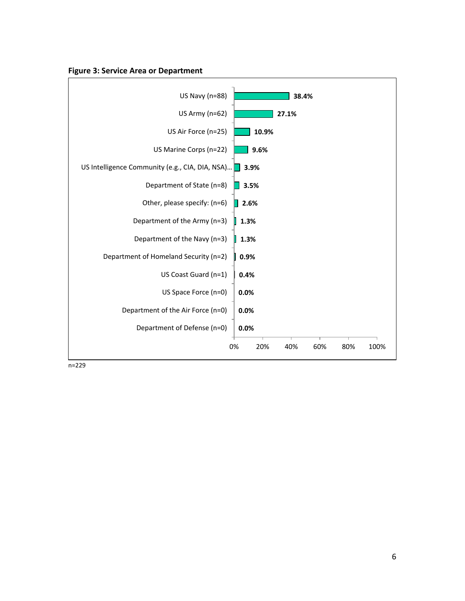**Figure 3: Service Area or Department**

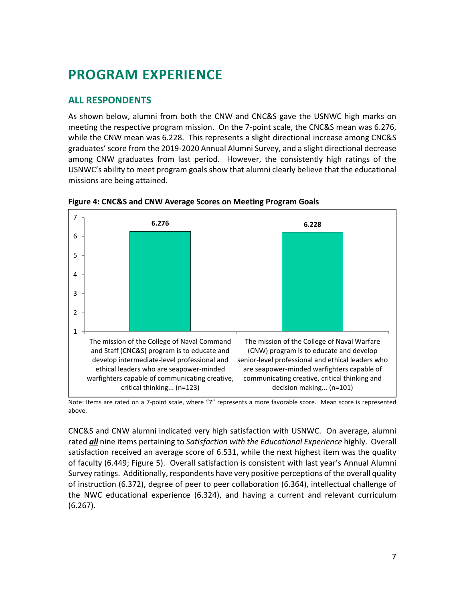## <span id="page-6-0"></span>**PROGRAM EXPERIENCE**

## <span id="page-6-1"></span>**ALL RESPONDENTS**

As shown below, alumni from both the CNW and CNC&S gave the USNWC high marks on meeting the respective program mission. On the 7-point scale, the CNC&S mean was 6.276, while the CNW mean was 6.228. This represents a slight directional increase among CNC&S graduates' score from the 2019-2020 Annual Alumni Survey, and a slight directional decrease among CNW graduates from last period. However, the consistently high ratings of the USNWC's ability to meet program goals show that alumni clearly believe that the educational missions are being attained.



**Figure 4: CNC&S and CNW Average Scores on Meeting Program Goals**

Note: Items are rated on a 7-point scale, where "7" represents a more favorable score. Mean score is represented above.

CNC&S and CNW alumni indicated very high satisfaction with USNWC. On average, alumni rated *all* nine items pertaining to *Satisfaction with the Educational Experience* highly. Overall satisfaction received an average score of 6.531, while the next highest item was the quality of faculty (6.449; Figure 5). Overall satisfaction is consistent with last year's Annual Alumni Survey ratings. Additionally, respondents have very positive perceptions of the overall quality of instruction (6.372), degree of peer to peer collaboration (6.364), intellectual challenge of the NWC educational experience (6.324), and having a current and relevant curriculum (6.267).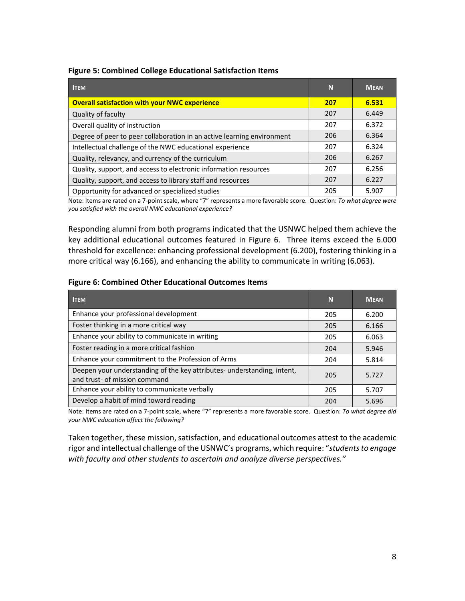|  | <b>Figure 5: Combined College Educational Satisfaction Items</b> |
|--|------------------------------------------------------------------|
|--|------------------------------------------------------------------|

| <b>ITEM</b>                                                            | N   | <b>MEAN</b> |
|------------------------------------------------------------------------|-----|-------------|
| <b>Overall satisfaction with your NWC experience</b>                   | 207 | 6.531       |
| Quality of faculty                                                     | 207 | 6.449       |
| Overall quality of instruction                                         | 207 | 6.372       |
| Degree of peer to peer collaboration in an active learning environment | 206 | 6.364       |
| Intellectual challenge of the NWC educational experience               | 207 | 6.324       |
| Quality, relevancy, and currency of the curriculum                     | 206 | 6.267       |
| Quality, support, and access to electronic information resources       | 207 | 6.256       |
| Quality, support, and access to library staff and resources            | 207 | 6.227       |
| Opportunity for advanced or specialized studies                        | 205 | 5.907       |

Note: Items are rated on a 7-point scale, where "7" represents a more favorable score. Question: *To what degree were you satisfied with the overall NWC educational experience?*

Responding alumni from both programs indicated that the USNWC helped them achieve the key additional educational outcomes featured in Figure 6. Three items exceed the 6.000 threshold for excellence: enhancing professional development (6.200), fostering thinking in a more critical way (6.166), and enhancing the ability to communicate in writing (6.063).

#### **Figure 6: Combined Other Educational Outcomes Items**

| <b>ITEM</b>                                                                                              | N   | <b>MEAN</b> |
|----------------------------------------------------------------------------------------------------------|-----|-------------|
| Enhance your professional development                                                                    | 205 | 6.200       |
| Foster thinking in a more critical way                                                                   | 205 | 6.166       |
| Enhance your ability to communicate in writing                                                           | 205 | 6.063       |
| Foster reading in a more critical fashion                                                                | 204 | 5.946       |
| Enhance your commitment to the Profession of Arms                                                        | 204 | 5.814       |
| Deepen your understanding of the key attributes- understanding, intent,<br>and trust- of mission command | 205 | 5.727       |
| Enhance your ability to communicate verbally                                                             | 205 | 5.707       |
| Develop a habit of mind toward reading                                                                   | 204 | 5.696       |

Note: Items are rated on a 7-point scale, where "7" represents a more favorable score. Question: *To what degree did your NWC education affect the following?*

Taken together, these mission, satisfaction, and educational outcomes attest to the academic rigor and intellectual challenge of the USNWC's programs, which require: "*students to engage with faculty and other students to ascertain and analyze diverse perspectives."*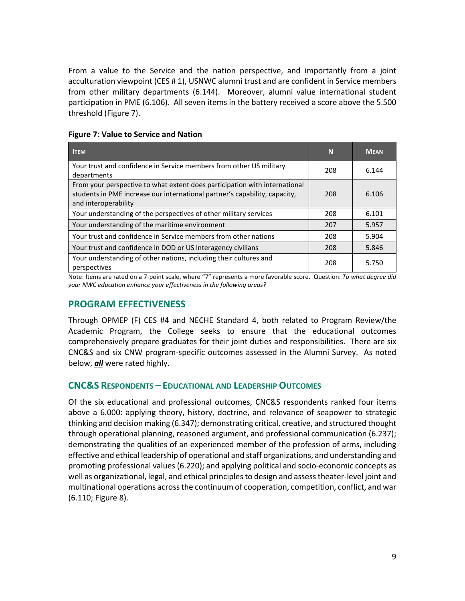From a value to the Service and the nation perspective, and importantly from a joint acculturation viewpoint (CES # 1), USNWC alumni trust and are confident in Service members from other military departments (6.144). Moreover, alumni value international student participation in PME (6.106). All seven items in the battery received a score above the 5.500 threshold (Figure 7).

| <b>Figure 7: Value to Service and Nation</b> |  |
|----------------------------------------------|--|
|                                              |  |

| <b>ITEM</b>                                                                                                                                                                      | N   | <b>MEAN</b> |
|----------------------------------------------------------------------------------------------------------------------------------------------------------------------------------|-----|-------------|
| Your trust and confidence in Service members from other US military<br>departments                                                                                               | 208 | 6.144       |
| From your perspective to what extent does participation with international<br>students in PME increase our international partner's capability, capacity,<br>and interoperability | 208 | 6.106       |
| Your understanding of the perspectives of other military services                                                                                                                | 208 | 6.101       |
| Your understanding of the maritime environment                                                                                                                                   | 207 | 5.957       |
| Your trust and confidence in Service members from other nations                                                                                                                  | 208 | 5.904       |
| Your trust and confidence in DOD or US Interagency civilians                                                                                                                     | 208 | 5.846       |
| Your understanding of other nations, including their cultures and<br>perspectives                                                                                                | 208 | 5.750       |

Note: Items are rated on a 7-point scale, where "7" represents a more favorable score. Question: *To what degree did your NWC education enhance your effectiveness in the following areas?*

## <span id="page-8-0"></span>**PROGRAM EFFECTIVENESS**

Through OPMEP (F) CES #4 and NECHE Standard 4, both related to Program Review/the Academic Program, the College seeks to ensure that the educational outcomes comprehensively prepare graduates for their joint duties and responsibilities. There are six CNC&S and six CNW program-specific outcomes assessed in the Alumni Survey. As noted below, *all* were rated highly.

#### <span id="page-8-1"></span>**CNC&S RESPONDENTS – EDUCATIONAL AND LEADERSHIP OUTCOMES**

Of the six educational and professional outcomes, CNC&S respondents ranked four items above a 6.000: applying theory, history, doctrine, and relevance of seapower to strategic thinking and decision making (6.347); demonstrating critical, creative, and structured thought through operational planning, reasoned argument, and professional communication (6.237); demonstrating the qualities of an experienced member of the profession of arms, including effective and ethical leadership of operational and staff organizations, and understanding and promoting professional values (6.220); and applying political and socio-economic concepts as well as organizational, legal, and ethical principles to design and assess theater-level joint and multinational operations across the continuum of cooperation, competition, conflict, and war (6.110; Figure 8).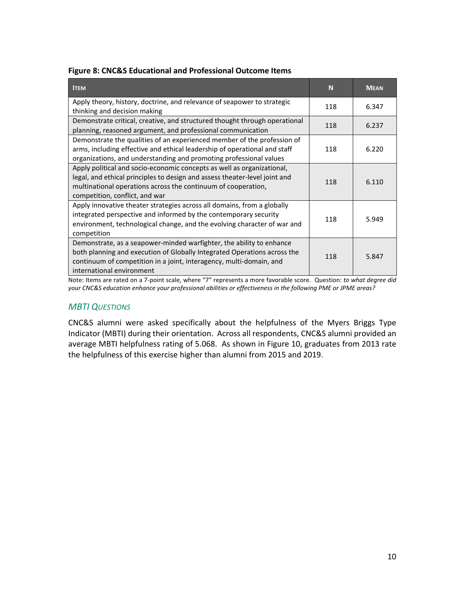|  |  | <b>Figure 8: CNC&amp;S Educational and Professional Outcome Items</b> |  |
|--|--|-----------------------------------------------------------------------|--|
|--|--|-----------------------------------------------------------------------|--|

| <b>ITEM</b>                                                                                                                                                                                                                                             | N   | <b>MEAN</b> |
|---------------------------------------------------------------------------------------------------------------------------------------------------------------------------------------------------------------------------------------------------------|-----|-------------|
| Apply theory, history, doctrine, and relevance of seapower to strategic<br>thinking and decision making                                                                                                                                                 | 118 | 6.347       |
| Demonstrate critical, creative, and structured thought through operational<br>planning, reasoned argument, and professional communication                                                                                                               | 118 | 6.237       |
| Demonstrate the qualities of an experienced member of the profession of<br>arms, including effective and ethical leadership of operational and staff<br>organizations, and understanding and promoting professional values                              | 118 | 6.220       |
| Apply political and socio-economic concepts as well as organizational,<br>legal, and ethical principles to design and assess theater-level joint and<br>multinational operations across the continuum of cooperation,<br>competition, conflict, and war | 118 | 6.110       |
| Apply innovative theater strategies across all domains, from a globally<br>integrated perspective and informed by the contemporary security<br>environment, technological change, and the evolving character of war and<br>competition                  | 118 | 5.949       |
| Demonstrate, as a seapower-minded warfighter, the ability to enhance<br>both planning and execution of Globally Integrated Operations across the<br>continuum of competition in a joint, interagency, multi-domain, and<br>international environment    | 118 | 5.847       |

Note: Items are rated on a 7-point scale, where "7" represents a more favorable score. Question: *to what degree did your CNC&S education enhance your professional abilities or effectiveness in the following PME or JPME areas?*

#### *MBTI QUESTIONS*

CNC&S alumni were asked specifically about the helpfulness of the Myers Briggs Type Indicator (MBTI) during their orientation. Across all respondents, CNC&S alumni provided an average MBTI helpfulness rating of 5.068. As shown in Figure 10, graduates from 2013 rate the helpfulness of this exercise higher than alumni from 2015 and 2019.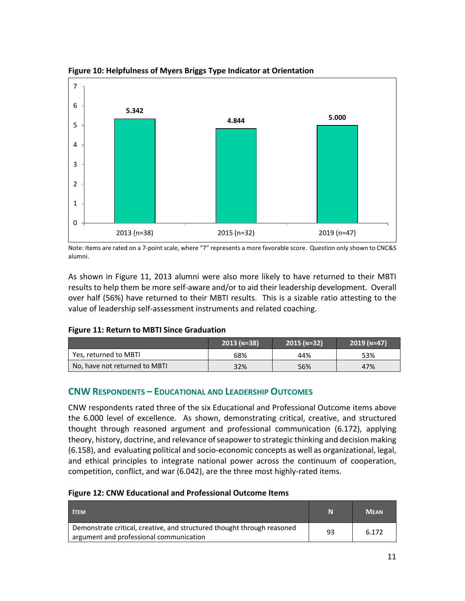

**Figure 10: Helpfulness of Myers Briggs Type Indicator at Orientation**

As shown in Figure 11, 2013 alumni were also more likely to have returned to their MBTI results to help them be more self-aware and/or to aid their leadership development. Overall over half (56%) have returned to their MBTI results. This is a sizable ratio attesting to the value of leadership self-assessment instruments and related coaching.

#### **Figure 11: Return to MBTI Since Graduation**

|                               | L2013 (N=38) <sup>\</sup> | $2015(n=32)$ | $2019(n=47)$ |
|-------------------------------|---------------------------|--------------|--------------|
| Yes, returned to MBTI         | 68%                       | 44%          | 53%          |
| No, have not returned to MBTI | 32%                       | 56%          | 47%          |

## <span id="page-10-0"></span>**CNW RESPONDENTS – EDUCATIONAL AND LEADERSHIP OUTCOMES**

CNW respondents rated three of the six Educational and Professional Outcome items above the 6.000 level of excellence. As shown, demonstrating critical, creative, and structured thought through reasoned argument and professional communication (6.172), applying theory, history, doctrine, and relevance of seapower to strategic thinking and decision making (6.158), and evaluating political and socio-economic concepts as well as organizational, legal, and ethical principles to integrate national power across the continuum of cooperation, competition, conflict, and war (6.042), are the three most highly-rated items.

#### **Figure 12: CNW Educational and Professional Outcome Items**

| <b>ITEM</b>                                                                                                        | N  | <b>MFAN</b> |
|--------------------------------------------------------------------------------------------------------------------|----|-------------|
| Demonstrate critical, creative, and structured thought through reasoned<br>argument and professional communication | 93 | 6.172       |

Note: Items are rated on a 7-point scale, where "7" represents a more favorable score. Question only shown to CNC&S alumni.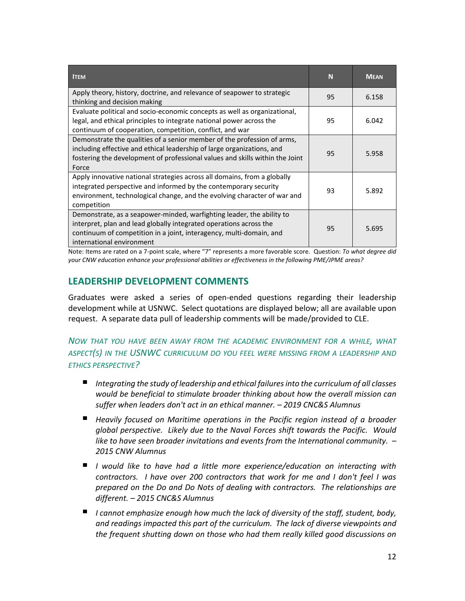| <b>ITEM</b>                                                                                                                                                                                                                                     | N  | <b>MEAN</b> |
|-------------------------------------------------------------------------------------------------------------------------------------------------------------------------------------------------------------------------------------------------|----|-------------|
| Apply theory, history, doctrine, and relevance of seapower to strategic<br>thinking and decision making                                                                                                                                         | 95 | 6.158       |
| Evaluate political and socio-economic concepts as well as organizational,<br>legal, and ethical principles to integrate national power across the<br>continuum of cooperation, competition, conflict, and war                                   | 95 | 6.042       |
| Demonstrate the qualities of a senior member of the profession of arms,<br>including effective and ethical leadership of large organizations, and<br>fostering the development of professional values and skills within the Joint<br>Force      | 95 | 5.958       |
| Apply innovative national strategies across all domains, from a globally<br>integrated perspective and informed by the contemporary security<br>environment, technological change, and the evolving character of war and<br>competition         | 93 | 5.892       |
| Demonstrate, as a seapower-minded, warfighting leader, the ability to<br>interpret, plan and lead globally integrated operations across the<br>continuum of competition in a joint, interagency, multi-domain, and<br>international environment | 95 | 5.695       |

Note: Items are rated on a 7-point scale, where "7" represents a more favorable score. Question: *To what degree did your CNW education enhance your professional abilities or effectiveness in the following PME/JPME areas?*

## <span id="page-11-0"></span>**LEADERSHIP DEVELOPMENT COMMENTS**

Graduates were asked a series of open-ended questions regarding their leadership development while at USNWC. Select quotations are displayed below; all are available upon request. A separate data pull of leadership comments will be made/provided to CLE.

*NOW THAT YOU HAVE BEEN AWAY FROM THE ACADEMIC ENVIRONMENT FOR A WHILE, WHAT ASPECT(S) IN THE USNWC CURRICULUM DO YOU FEEL WERE MISSING FROM A LEADERSHIP AND ETHICS PERSPECTIVE?*

- $\blacksquare$ *Integrating the study of leadership and ethical failures into the curriculum of all classes would be beneficial to stimulate broader thinking about how the overall mission can suffer when leaders don't act in an ethical manner. – 2019 CNC&S Alumnus*
- *Heavily focused on Maritime operations in the Pacific region instead of a broader global perspective. Likely due to the Naval Forces shift towards the Pacific. Would like to have seen broader invitations and events from the International community. – 2015 CNW Alumnus*
- *I would like to have had a little more experience/education on interacting with contractors. I have over 200 contractors that work for me and I don't feel I was prepared on the Do and Do Nots of dealing with contractors. The relationships are different. – 2015 CNC&S Alumnus*
- I cannot emphasize enough how much the lack of diversity of the staff, student, body, *and readings impacted this part of the curriculum. The lack of diverse viewpoints and the frequent shutting down on those who had them really killed good discussions on*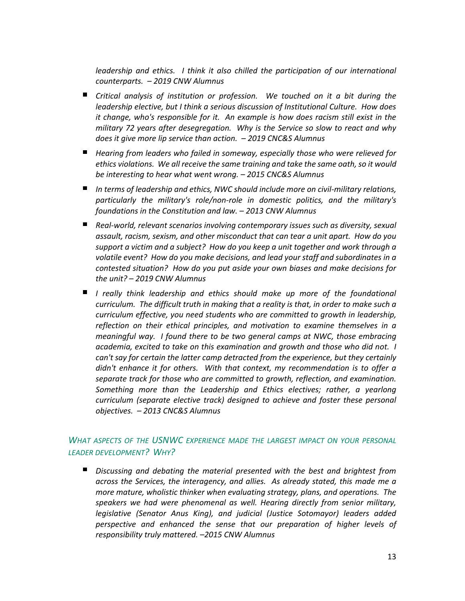*leadership and ethics. I think it also chilled the participation of our international counterparts. – 2019 CNW Alumnus*

- Critical analysis of institution or profession. We touched on it a bit during the *leadership elective, but I think a serious discussion of Institutional Culture. How does it change, who's responsible for it. An example is how does racism still exist in the military 72 years after desegregation. Why is the Service so slow to react and why does it give more lip service than action. – 2019 CNC&S Alumnus*
- *Hearing from leaders who failed in someway, especially those who were relieved for ethics violations. We all receive the same training and take the same oath, so it would be interesting to hear what went wrong. – 2015 CNC&S Alumnus*
- *In terms of leadership and ethics, NWC should include more on civil-military relations, particularly the military's role/non-role in domestic politics, and the military's foundations in the Constitution and law. – 2013 CNW Alumnus*
- *Real-world, relevant scenarios involving contemporary issues such as diversity, sexual assault, racism, sexism, and other misconduct that can tear a unit apart. How do you support a victim and a subject? How do you keep a unit together and work through a volatile event? How do you make decisions, and lead your staff and subordinates in a contested situation? How do you put aside your own biases and make decisions for the unit? – 2019 CNW Alumnus*
- *I really think leadership and ethics should make up more of the foundational curriculum. The difficult truth in making that a reality is that, in order to make such a curriculum effective, you need students who are committed to growth in leadership, reflection on their ethical principles, and motivation to examine themselves in a meaningful way. I found there to be two general camps at NWC, those embracing academia, excited to take on this examination and growth and those who did not. I can't say for certain the latter camp detracted from the experience, but they certainly didn't enhance it for others. With that context, my recommendation is to offer a separate track for those who are committed to growth, reflection, and examination. Something more than the Leadership and Ethics electives; rather, a yearlong curriculum (separate elective track) designed to achieve and foster these personal objectives. – 2013 CNC&S Alumnus*

### *WHAT ASPECTS OF THE USNWC EXPERIENCE MADE THE LARGEST IMPACT ON YOUR PERSONAL LEADER DEVELOPMENT? WHY?*

 $\blacksquare$ *Discussing and debating the material presented with the best and brightest from across the Services, the interagency, and allies. As already stated, this made me a more mature, wholistic thinker when evaluating strategy, plans, and operations. The speakers we had were phenomenal as well. Hearing directly from senior military, legislative (Senator Anus King), and judicial (Justice Sotomayor) leaders added perspective and enhanced the sense that our preparation of higher levels of responsibility truly mattered. –2015 CNW Alumnus*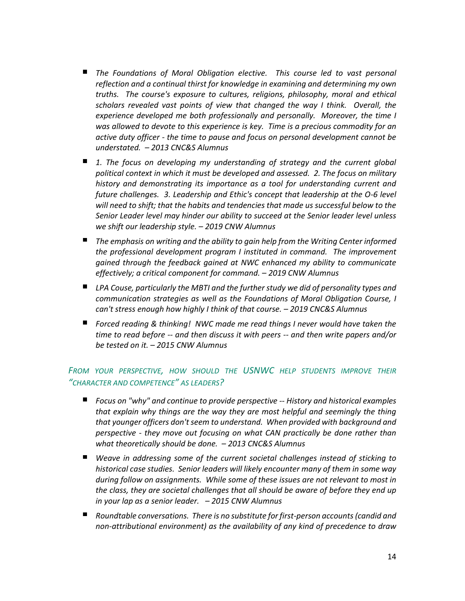- *The Foundations of Moral Obligation elective. This course led to vast personal reflection and a continual thirst for knowledge in examining and determining my own truths. The course's exposure to cultures, religions, philosophy, moral and ethical scholars revealed vast points of view that changed the way I think. Overall, the experience developed me both professionally and personally. Moreover, the time I was allowed to devote to this experience is key. Time is a precious commodity for an active duty officer - the time to pause and focus on personal development cannot be understated. – 2013 CNC&S Alumnus*
- *1. The focus on developing my understanding of strategy and the current global political context in which it must be developed and assessed. 2. The focus on military history and demonstrating its importance as a tool for understanding current and future challenges. 3. Leadership and Ethic's concept that leadership at the O-6 level will need to shift; that the habits and tendencies that made us successful below to the Senior Leader level may hinder our ability to succeed at the Senior leader level unless we shift our leadership style. – 2019 CNW Alumnus*
- *The emphasis on writing and the ability to gain help from the Writing Center informed the professional development program I instituted in command. The improvement gained through the feedback gained at NWC enhanced my ability to communicate effectively; a critical component for command. – 2019 CNW Alumnus*
- LPA Couse, particularly the MBTI and the further study we did of personality types and *communication strategies as well as the Foundations of Moral Obligation Course, I can't stress enough how highly I think of that course. – 2019 CNC&S Alumnus*
- *Forced reading & thinking! NWC made me read things I never would have taken the time to read before -- and then discuss it with peers -- and then write papers and/or be tested on it. – 2015 CNW Alumnus*

## *FROM YOUR PERSPECTIVE, HOW SHOULD THE USNWC HELP STUDENTS IMPROVE THEIR "CHARACTER AND COMPETENCE" AS LEADERS?*

- *Focus on "why" and continue to provide perspective -- History and historical examples that explain why things are the way they are most helpful and seemingly the thing that younger officers don't seem to understand. When provided with background and perspective - they move out focusing on what CAN practically be done rather than what theoretically should be done. – 2013 CNC&S Alumnus*
- *Weave in addressing some of the current societal challenges instead of sticking to historical case studies. Senior leaders will likely encounter many of them in some way during follow on assignments. While some of these issues are not relevant to most in the class, they are societal challenges that all should be aware of before they end up in your lap as a senior leader. – 2015 CNW Alumnus*
- *Roundtable conversations. There is no substitute for first-person accounts (candid and non-attributional environment) as the availability of any kind of precedence to draw*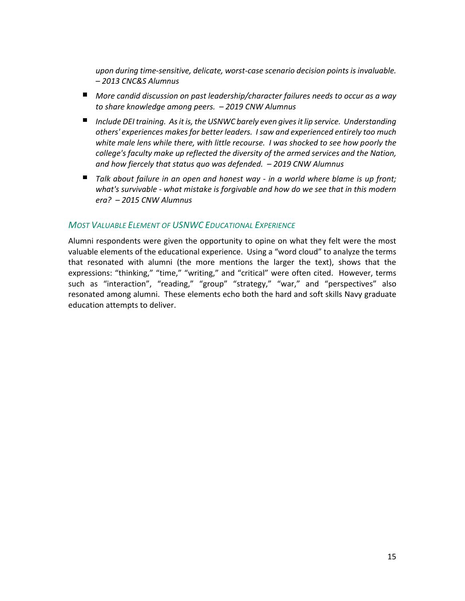*upon during time-sensitive, delicate, worst-case scenario decision points is invaluable. – 2013 CNC&S Alumnus* 

- More candid discussion on past leadership/character failures needs to occur as a way *to share knowledge among peers. – 2019 CNW Alumnus*
- Include DEI training. As it is, the USNWC barely even gives it lip service. Understanding *others' experiences makes for better leaders. I saw and experienced entirely too much white male lens while there, with little recourse. I was shocked to see how poorly the college's faculty make up reflected the diversity of the armed services and the Nation, and how fiercely that status quo was defended. – 2019 CNW Alumnus*
- *Talk about failure in an open and honest way - in a world where blame is up front; what's survivable - what mistake is forgivable and how do we see that in this modern era? – 2015 CNW Alumnus*

#### *MOST VALUABLE ELEMENT OF USNWC EDUCATIONAL EXPERIENCE*

Alumni respondents were given the opportunity to opine on what they felt were the most valuable elements of the educational experience. Using a "word cloud" to analyze the terms that resonated with alumni (the more mentions the larger the text), shows that the expressions: "thinking," "time," "writing," and "critical" were often cited. However, terms such as "interaction", "reading," "group" "strategy," "war," and "perspectives" also resonated among alumni. These elements echo both the hard and soft skills Navy graduate education attempts to deliver.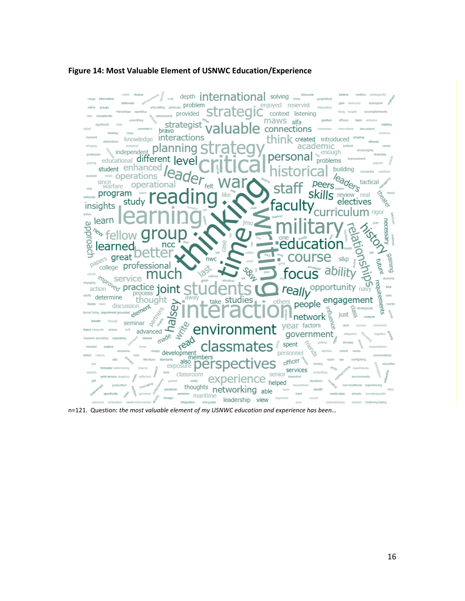#### **Figure 14: Most Valuable Element of USNWC Education/Experience**



n=121. Question: *the most valuable element of my USNWC education and experience has been…*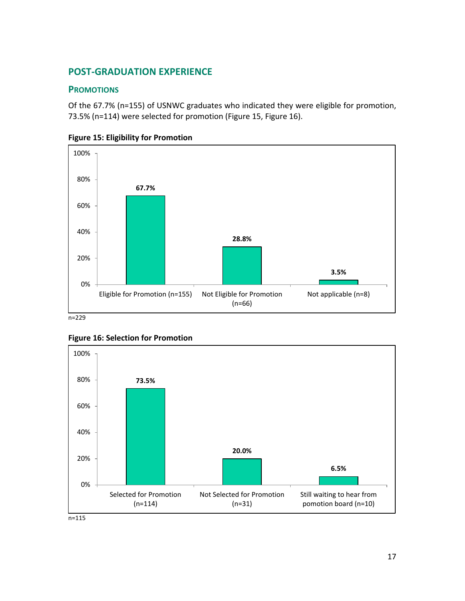## <span id="page-16-0"></span>**POST-GRADUATION EXPERIENCE**

#### <span id="page-16-1"></span>**PROMOTIONS**

Of the 67.7% (n=155) of USNWC graduates who indicated they were eligible for promotion, 73.5% (n=114) were selected for promotion (Figure 15, Figure 16).



**Figure 15: Eligibility for Promotion**





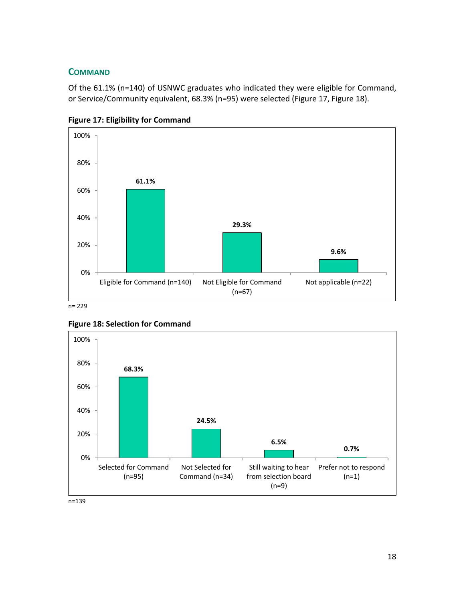## <span id="page-17-0"></span>**COMMAND**

Of the 61.1% (n=140) of USNWC graduates who indicated they were eligible for Command, or Service/Community equivalent, 68.3% (n=95) were selected (Figure 17, Figure 18).



**Figure 17: Eligibility for Command**





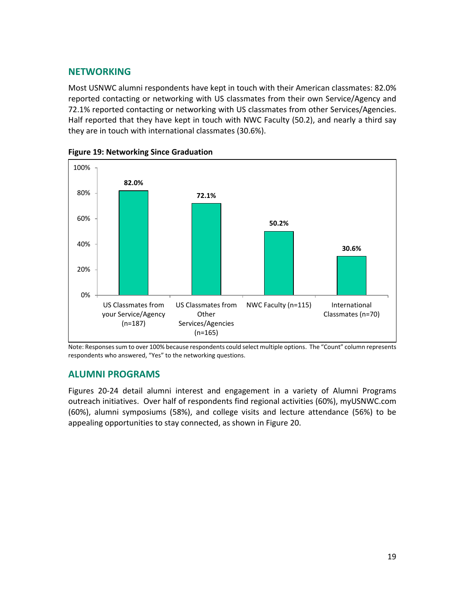## <span id="page-18-0"></span>**NETWORKING**

Most USNWC alumni respondents have kept in touch with their American classmates: 82.0% reported contacting or networking with US classmates from their own Service/Agency and 72.1% reported contacting or networking with US classmates from other Services/Agencies. Half reported that they have kept in touch with NWC Faculty (50.2), and nearly a third say they are in touch with international classmates (30.6%).



**Figure 19: Networking Since Graduation**

Note: Responses sum to over 100% because respondents could select multiple options. The "Count" column represents respondents who answered, "Yes" to the networking questions.

## <span id="page-18-1"></span>**ALUMNI PROGRAMS**

Figures 20-24 detail alumni interest and engagement in a variety of Alumni Programs outreach initiatives. Over half of respondents find regional activities (60%), myUSNWC.com (60%), alumni symposiums (58%), and college visits and lecture attendance (56%) to be appealing opportunities to stay connected, as shown in Figure 20.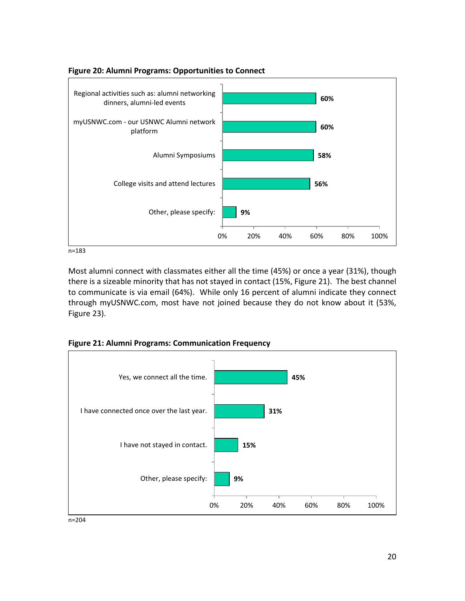

#### **Figure 20: Alumni Programs: Opportunities to Connect**

n=183

Most alumni connect with classmates either all the time (45%) or once a year (31%), though there is a sizeable minority that has not stayed in contact (15%, Figure 21). The best channel to communicate is via email (64%). While only 16 percent of alumni indicate they connect through myUSNWC.com, most have not joined because they do not know about it (53%, Figure 23).



#### **Figure 21: Alumni Programs: Communication Frequency**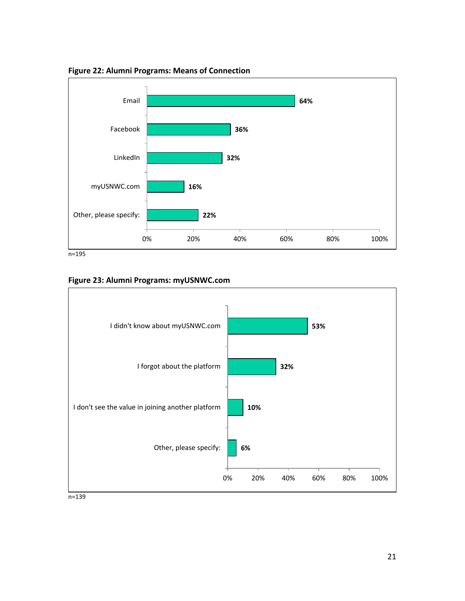

**Figure 22: Alumni Programs: Means of Connection**